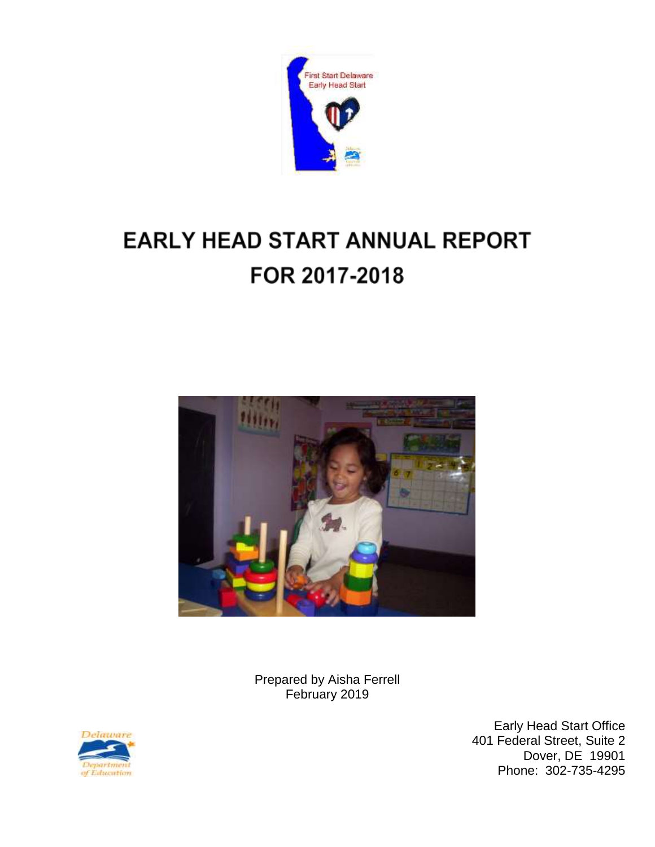

# **EARLY HEAD START ANNUAL REPORT** FOR 2017-2018



Prepared by Aisha Ferrell February 2019



Early Head Start Office 401 Federal Street, Suite 2 Dover, DE 19901 Phone: 302-735-4295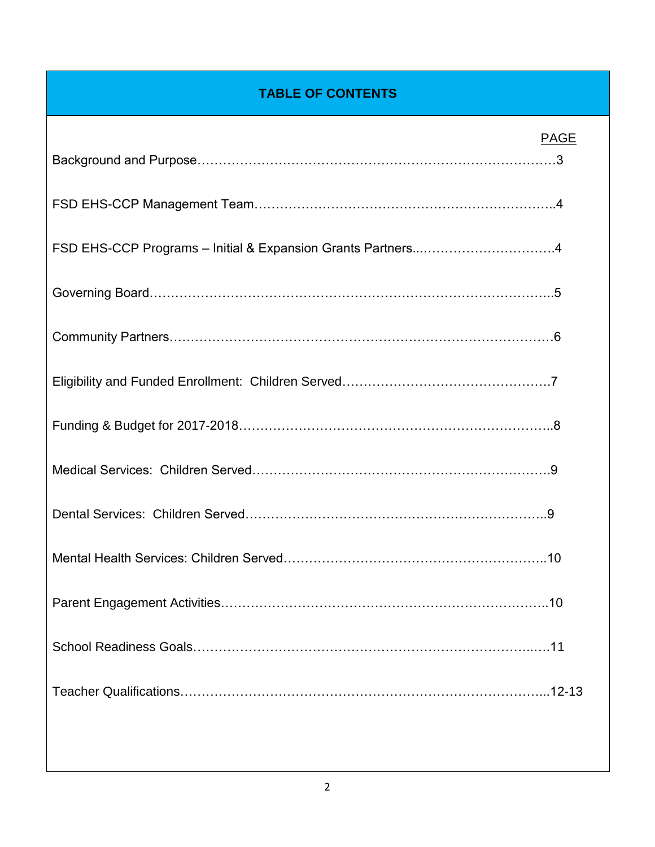## **TABLE OF CONTENTS**

| <b>PAGE</b> |
|-------------|
|             |
|             |
|             |
|             |
|             |
|             |
|             |
|             |
|             |
|             |
|             |
|             |
|             |
|             |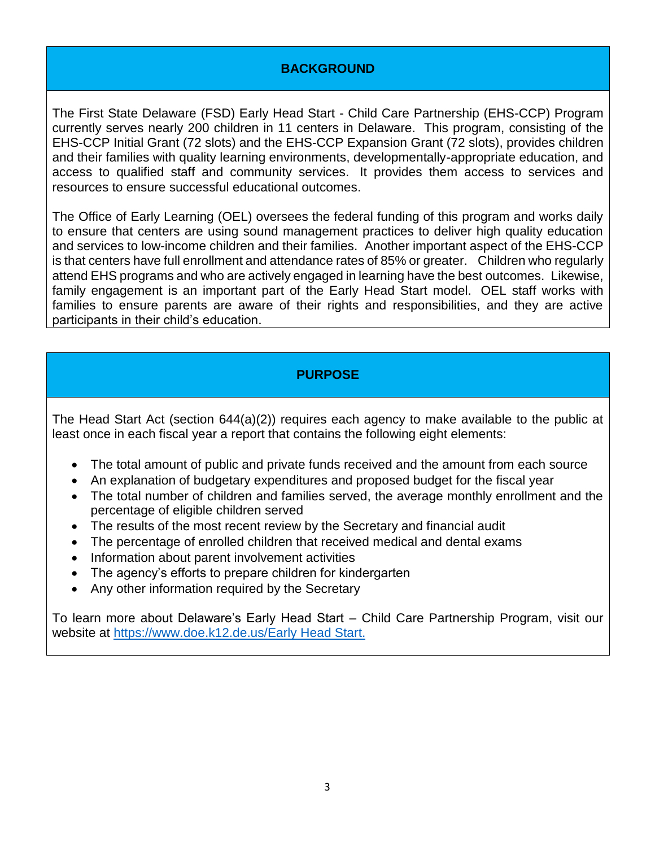#### **BACKGROUND**

The First State Delaware (FSD) Early Head Start - Child Care Partnership (EHS-CCP) Program currently serves nearly 200 children in 11 centers in Delaware. This program, consisting of the EHS-CCP Initial Grant (72 slots) and the EHS-CCP Expansion Grant (72 slots), provides children and their families with quality learning environments, developmentally-appropriate education, and access to qualified staff and community services. It provides them access to services and resources to ensure successful educational outcomes.

The Office of Early Learning (OEL) oversees the federal funding of this program and works daily to ensure that centers are using sound management practices to deliver high quality education and services to low-income children and their families. Another important aspect of the EHS-CCP is that centers have full enrollment and attendance rates of 85% or greater. Children who regularly attend EHS programs and who are actively engaged in learning have the best outcomes. Likewise, family engagement is an important part of the Early Head Start model. OEL staff works with families to ensure parents are aware of their rights and responsibilities, and they are active participants in their child's education.

#### **PURPOSE**

The Head Start Act (section 644(a)(2)) requires each agency to make available to the public at least once in each fiscal year a report that contains the following eight elements:

- The total amount of public and private funds received and the amount from each source
- An explanation of budgetary expenditures and proposed budget for the fiscal year
- The total number of children and families served, the average monthly enrollment and the percentage of eligible children served
- The results of the most recent review by the Secretary and financial audit
- The percentage of enrolled children that received medical and dental exams
- Information about parent involvement activities
- The agency's efforts to prepare children for kindergarten
- Any other information required by the Secretary

To learn more about Delaware's Early Head Start – Child Care Partnership Program, visit our website at<https://www.doe.k12.de.us/Early> Head Start.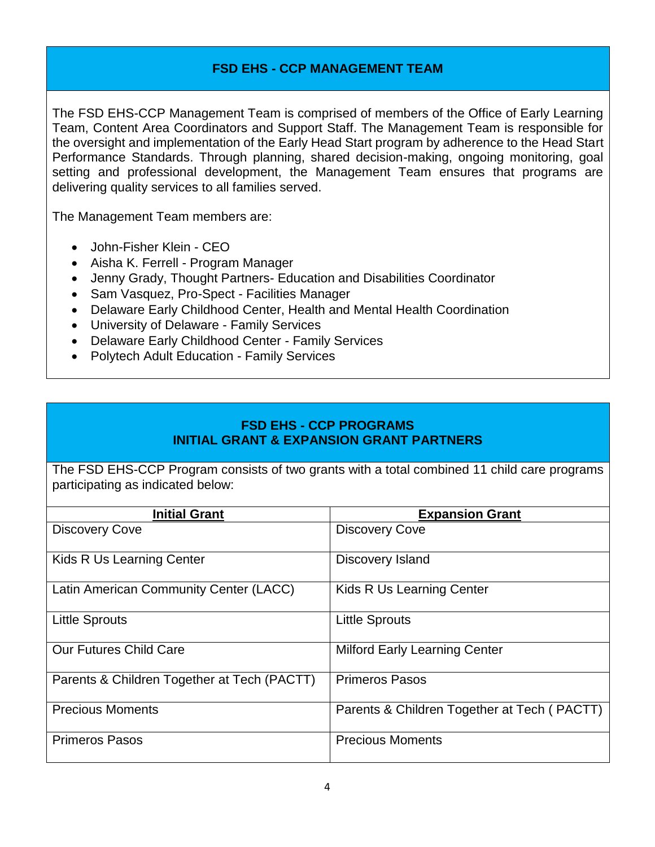#### **FSD EHS - CCP MANAGEMENT TEAM**

The FSD EHS-CCP Management Team is comprised of members of the Office of Early Learning Team, Content Area Coordinators and Support Staff. The Management Team is responsible for the oversight and implementation of the Early Head Start program by adherence to the Head Start Performance Standards. Through planning, shared decision-making, ongoing monitoring, goal setting and professional development, the Management Team ensures that programs are delivering quality services to all families served.

The Management Team members are:

- John-Fisher Klein CEO
- Aisha K. Ferrell Program Manager
- Jenny Grady, Thought Partners- Education and Disabilities Coordinator
- Sam Vasquez, Pro-Spect Facilities Manager
- Delaware Early Childhood Center, Health and Mental Health Coordination
- University of Delaware Family Services
- Delaware Early Childhood Center Family Services
- Polytech Adult Education Family Services

#### **FSD EHS - CCP PROGRAMS INITIAL GRANT & EXPANSION GRANT PARTNERS**

The FSD EHS-CCP Program consists of two grants with a total combined 11 child care programs participating as indicated below:

| <b>Initial Grant</b>                        | <b>Expansion Grant</b>                      |
|---------------------------------------------|---------------------------------------------|
| <b>Discovery Cove</b>                       | <b>Discovery Cove</b>                       |
| Kids R Us Learning Center                   | <b>Discovery Island</b>                     |
| Latin American Community Center (LACC)      | Kids R Us Learning Center                   |
| <b>Little Sprouts</b>                       | <b>Little Sprouts</b>                       |
| <b>Our Futures Child Care</b>               | <b>Milford Early Learning Center</b>        |
| Parents & Children Together at Tech (PACTT) | <b>Primeros Pasos</b>                       |
| <b>Precious Moments</b>                     | Parents & Children Together at Tech (PACTT) |
| <b>Primeros Pasos</b>                       | <b>Precious Moments</b>                     |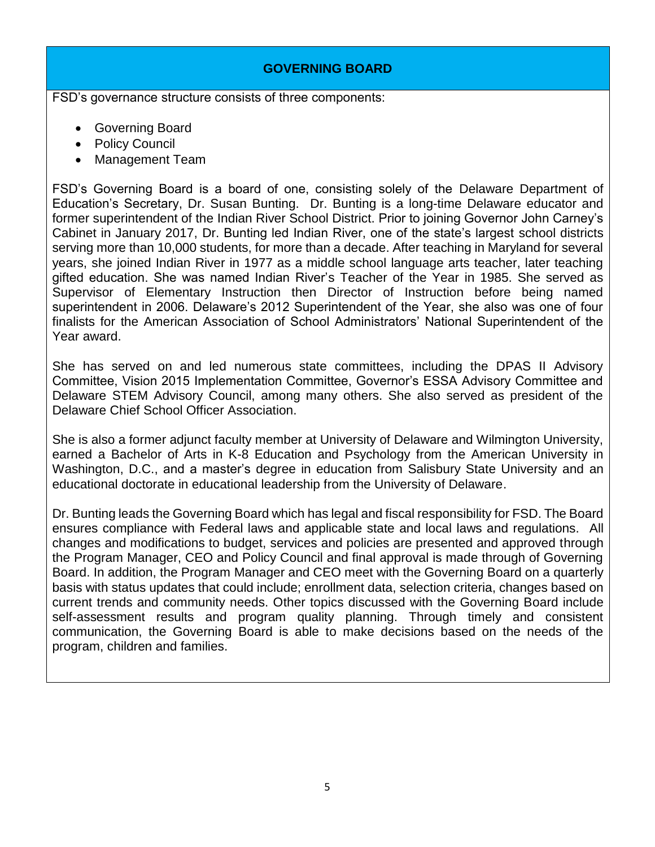#### **GOVERNING BOARD**

FSD's governance structure consists of three components:

- Governing Board
- Policy Council
- Management Team

FSD's Governing Board is a board of one, consisting solely of the Delaware Department of Education's Secretary, Dr. Susan Bunting. Dr. Bunting is a long-time Delaware educator and former superintendent of the Indian River School District. Prior to joining Governor John Carney's Cabinet in January 2017, Dr. Bunting led Indian River, one of the state's largest school districts serving more than 10,000 students, for more than a decade. After teaching in Maryland for several years, she joined Indian River in 1977 as a middle school language arts teacher, later teaching gifted education. She was named Indian River's Teacher of the Year in 1985. She served as Supervisor of Elementary Instruction then Director of Instruction before being named superintendent in 2006. Delaware's 2012 Superintendent of the Year, she also was one of four finalists for the American Association of School Administrators' National Superintendent of the Year award.

She has served on and led numerous state committees, including the DPAS II Advisory Committee, Vision 2015 Implementation Committee, Governor's ESSA Advisory Committee and Delaware STEM Advisory Council, among many others. She also served as president of the Delaware Chief School Officer Association.

She is also a former adjunct faculty member at University of Delaware and Wilmington University, earned a Bachelor of Arts in K-8 Education and Psychology from the American University in Washington, D.C., and a master's degree in education from Salisbury State University and an educational doctorate in educational leadership from the University of Delaware.

Dr. Bunting leads the Governing Board which has legal and fiscal responsibility for FSD. The Board ensures compliance with Federal laws and applicable state and local laws and regulations. All changes and modifications to budget, services and policies are presented and approved through the Program Manager, CEO and Policy Council and final approval is made through of Governing Board. In addition, the Program Manager and CEO meet with the Governing Board on a quarterly basis with status updates that could include; enrollment data, selection criteria, changes based on current trends and community needs. Other topics discussed with the Governing Board include self-assessment results and program quality planning. Through timely and consistent communication, the Governing Board is able to make decisions based on the needs of the program, children and families.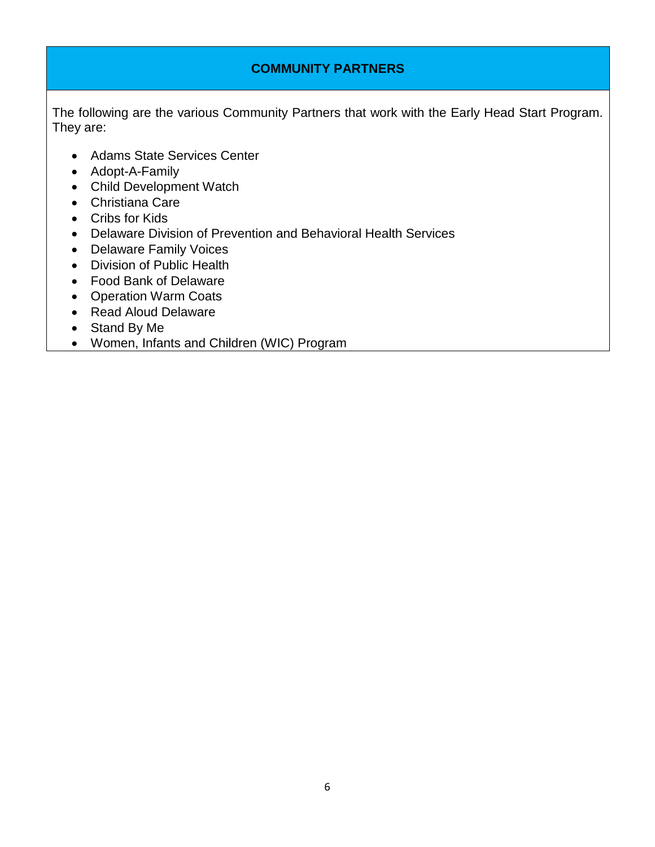#### **COMMUNITY PARTNERS**

The following are the various Community Partners that work with the Early Head Start Program. They are:

- Adams State Services Center
- Adopt-A-Family
- Child Development Watch
- Christiana Care
- Cribs for Kids
- Delaware Division of Prevention and Behavioral Health Services
- Delaware Family Voices
- Division of Public Health
- Food Bank of Delaware
- Operation Warm Coats
- Read Aloud Delaware
- Stand By Me
- Women, Infants and Children (WIC) Program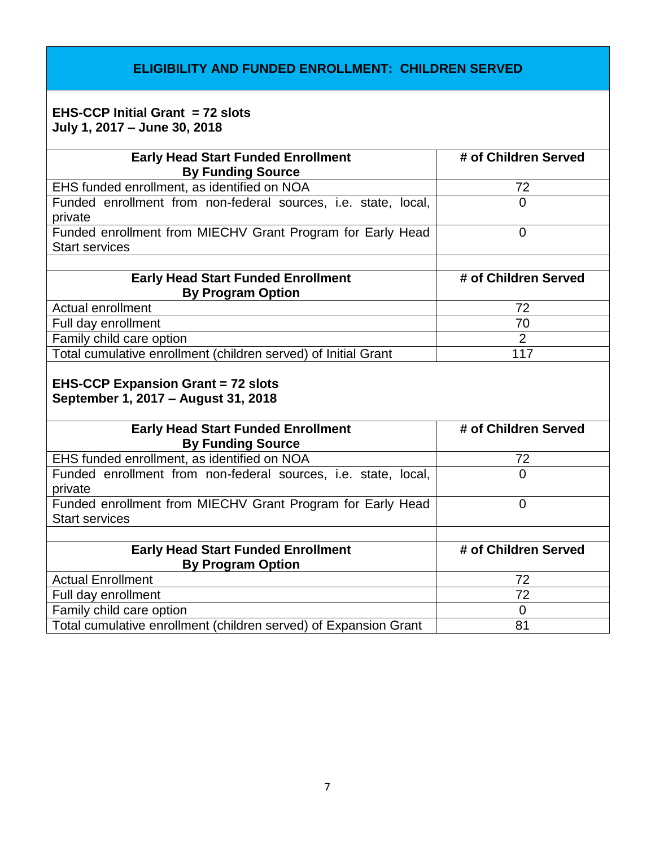#### **ELIGIBILITY AND FUNDED ENROLLMENT: CHILDREN SERVED**

#### **EHS-CCP Initial Grant = 72 slots July 1, 2017 – June 30, 2018**

| <b>Early Head Start Funded Enrollment</b>                                        | # of Children Served |
|----------------------------------------------------------------------------------|----------------------|
| <b>By Funding Source</b>                                                         |                      |
| EHS funded enrollment, as identified on NOA                                      | 72                   |
| Funded enrollment from non-federal sources, i.e. state, local,                   | $\Omega$             |
| private                                                                          |                      |
| Funded enrollment from MIECHV Grant Program for Early Head                       | $\overline{0}$       |
| <b>Start services</b>                                                            |                      |
|                                                                                  |                      |
| <b>Early Head Start Funded Enrollment</b>                                        | # of Children Served |
| <b>By Program Option</b>                                                         |                      |
| <b>Actual enrollment</b>                                                         | 72                   |
| Full day enrollment                                                              | 70                   |
| Family child care option                                                         | $\overline{2}$       |
|                                                                                  | 117                  |
| Total cumulative enrollment (children served) of Initial Grant                   |                      |
| <b>EHS-CCP Expansion Grant = 72 slots</b><br>September 1, 2017 - August 31, 2018 |                      |
| <b>Early Head Start Funded Enrollment</b>                                        | # of Children Served |
| <b>By Funding Source</b>                                                         |                      |
| EHS funded enrollment, as identified on NOA                                      | 72                   |
| Funded enrollment from non-federal sources, i.e. state, local,                   | $\Omega$             |
| private                                                                          |                      |
| Funded enrollment from MIECHV Grant Program for Early Head                       | $\overline{0}$       |
| <b>Start services</b>                                                            |                      |
|                                                                                  |                      |
| <b>Early Head Start Funded Enrollment</b>                                        | # of Children Served |
| <b>By Program Option</b>                                                         |                      |
| <b>Actual Enrollment</b>                                                         | 72                   |
| Full day enrollment                                                              | 72                   |
| Family child care option                                                         | $\overline{0}$       |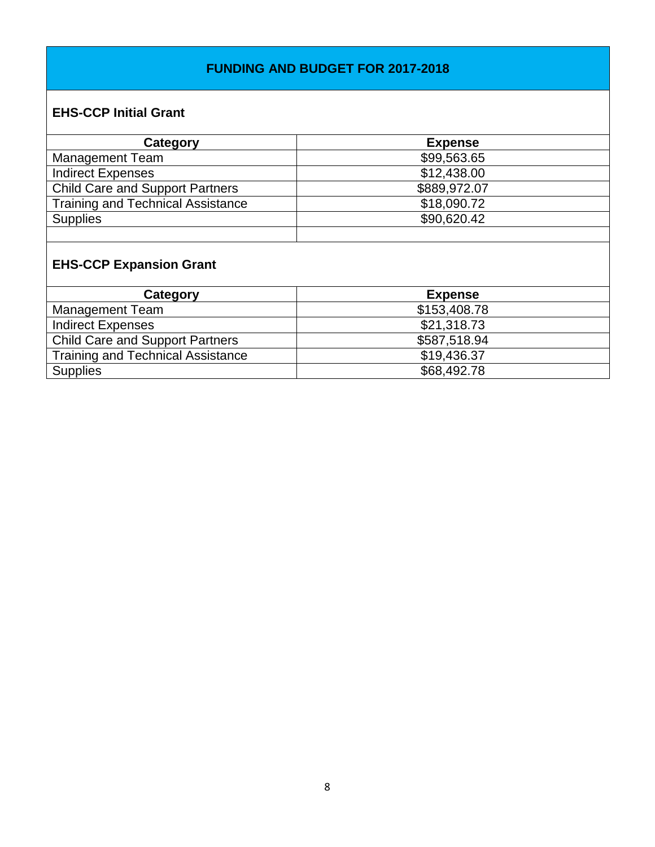#### **FUNDING AND BUDGET FOR 2017-2018**

### **EHS-CCP Initial Grant**

| Category                                 | <b>Expense</b> |
|------------------------------------------|----------------|
| <b>Management Team</b>                   | \$99,563.65    |
| <b>Indirect Expenses</b>                 | \$12,438.00    |
| <b>Child Care and Support Partners</b>   | \$889,972.07   |
| <b>Training and Technical Assistance</b> | \$18,090.72    |
| <b>Supplies</b>                          | \$90,620.42    |
|                                          |                |

# **EHS-CCP Expansion Grant**

| Category                                 | <b>Expense</b> |
|------------------------------------------|----------------|
| <b>Management Team</b>                   | \$153,408.78   |
| <b>Indirect Expenses</b>                 | \$21,318.73    |
| <b>Child Care and Support Partners</b>   | \$587,518.94   |
| <b>Training and Technical Assistance</b> | \$19,436.37    |
| <b>Supplies</b>                          | \$68,492.78    |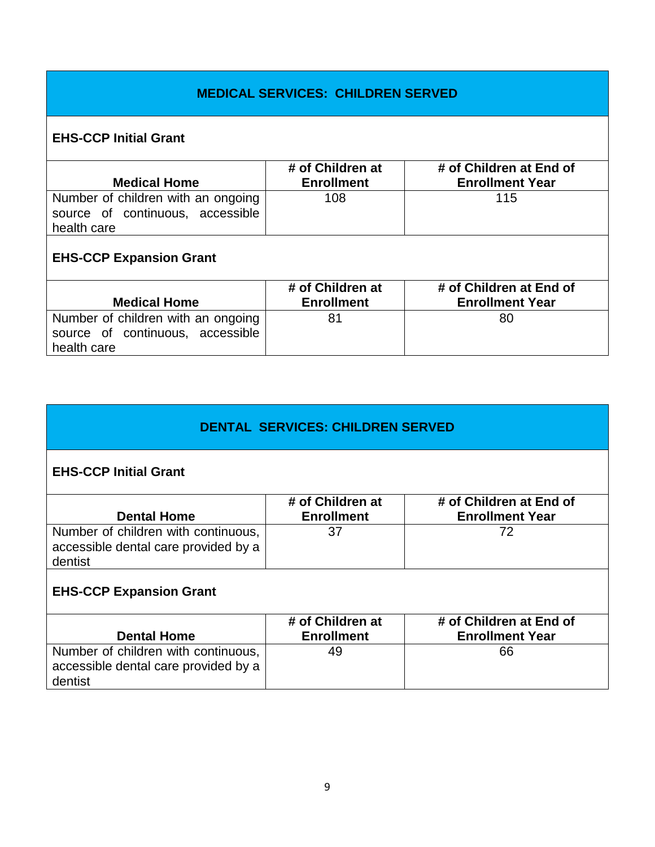#### **MEDICAL SERVICES: CHILDREN SERVED**

## **EHS-CCP Initial Grant**

| <b>Medical Home</b>                                                                   | # of Children at<br><b>Enrollment</b> | # of Children at End of<br><b>Enrollment Year</b> |
|---------------------------------------------------------------------------------------|---------------------------------------|---------------------------------------------------|
| Number of children with an ongoing<br>source of continuous, accessible<br>health care | 108                                   | 115                                               |
| <b>EHS-CCP Expansion Grant</b>                                                        |                                       |                                                   |
|                                                                                       |                                       |                                                   |
|                                                                                       | # of Children at                      | # of Children at End of                           |
| <b>Medical Home</b>                                                                   | <b>Enrollment</b>                     | <b>Enrollment Year</b>                            |

#### **DENTAL SERVICES: CHILDREN SERVED**

#### **EHS-CCP Initial Grant**

health care

| <b>Dental Home</b>                                                          | # of Children at<br><b>Enrollment</b> | # of Children at End of<br><b>Enrollment Year</b> |
|-----------------------------------------------------------------------------|---------------------------------------|---------------------------------------------------|
| Number of children with continuous,<br>accessible dental care provided by a | 37                                    | 70                                                |
| dentist                                                                     |                                       |                                                   |

## **EHS-CCP Expansion Grant**

| <b>Dental Home</b>                                                          | # of Children at<br><b>Enrollment</b> | # of Children at End of<br><b>Enrollment Year</b> |
|-----------------------------------------------------------------------------|---------------------------------------|---------------------------------------------------|
| Number of children with continuous,<br>accessible dental care provided by a | 49                                    | 66                                                |
| dentist                                                                     |                                       |                                                   |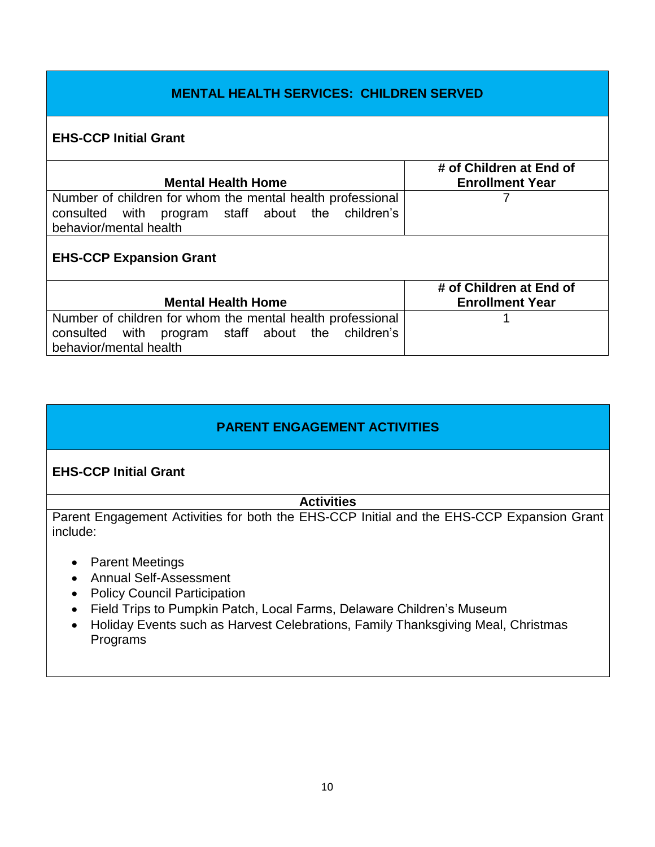#### **MENTAL HEALTH SERVICES: CHILDREN SERVED**

#### **EHS-CCP Initial Grant**

| <b>Mental Health Home</b>                                  | # of Children at End of<br><b>Enrollment Year</b> |
|------------------------------------------------------------|---------------------------------------------------|
| Number of children for whom the mental health professional |                                                   |
| program staff about the children's<br>consulted with       |                                                   |
| behavior/mental health                                     |                                                   |
| <b>EHS-CCP Expansion Grant</b>                             |                                                   |
|                                                            | # of Children at End of                           |
| <b>Mental Health Home</b>                                  | <b>Enrollment Year</b>                            |
| Number of children for whom the mental health professional |                                                   |
| program staff about the children's<br>with<br>consulted    |                                                   |
| behavior/mental health                                     |                                                   |

#### **PARENT ENGAGEMENT ACTIVITIES**

#### **EHS-CCP Initial Grant**

#### **Activities**

Parent Engagement Activities for both the EHS-CCP Initial and the EHS-CCP Expansion Grant include:

- Parent Meetings
- Annual Self-Assessment
- Policy Council Participation
- Field Trips to Pumpkin Patch, Local Farms, Delaware Children's Museum
- Holiday Events such as Harvest Celebrations, Family Thanksgiving Meal, Christmas Programs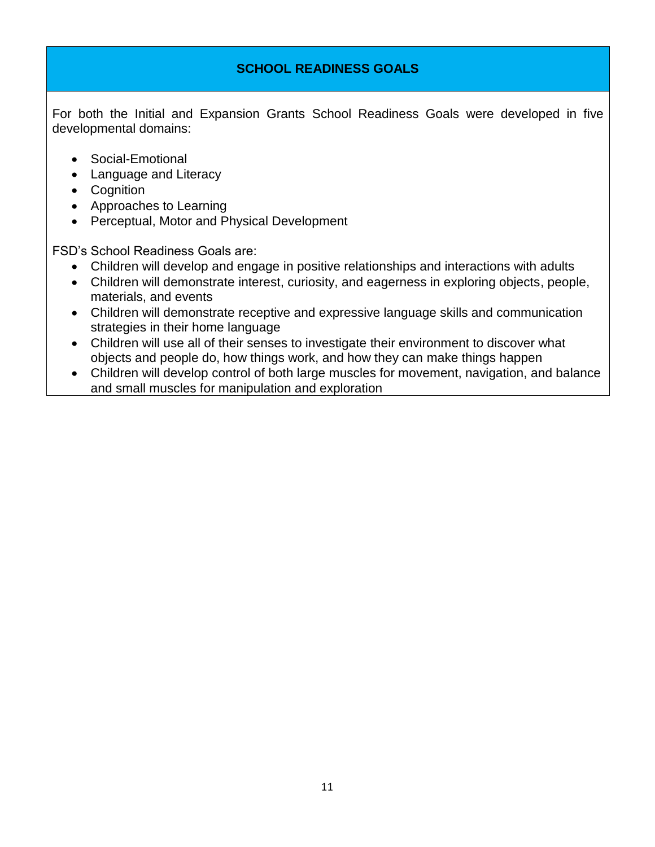#### **SCHOOL READINESS GOALS**

For both the Initial and Expansion Grants School Readiness Goals were developed in five developmental domains:

- Social-Emotional
- Language and Literacy
- Cognition
- Approaches to Learning
- Perceptual, Motor and Physical Development

FSD's School Readiness Goals are:

- Children will develop and engage in positive relationships and interactions with adults
- Children will demonstrate interest, curiosity, and eagerness in exploring objects, people, materials, and events
- Children will demonstrate receptive and expressive language skills and communication strategies in their home language
- Children will use all of their senses to investigate their environment to discover what objects and people do, how things work, and how they can make things happen
- Children will develop control of both large muscles for movement, navigation, and balance and small muscles for manipulation and exploration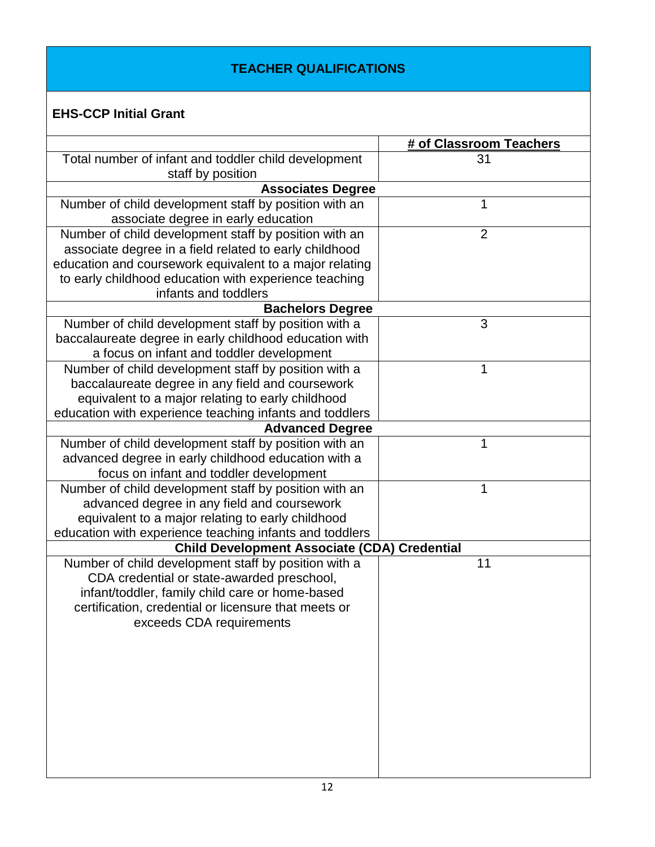## **TEACHER QUALIFICATIONS**

# **EHS-CCP Initial Grant**

|                                                                                               | # of Classroom Teachers |
|-----------------------------------------------------------------------------------------------|-------------------------|
| Total number of infant and toddler child development                                          | 31                      |
| staff by position                                                                             |                         |
| <b>Associates Degree</b>                                                                      |                         |
| Number of child development staff by position with an                                         | 1                       |
| associate degree in early education                                                           |                         |
| Number of child development staff by position with an                                         | $\overline{2}$          |
| associate degree in a field related to early childhood                                        |                         |
| education and coursework equivalent to a major relating                                       |                         |
| to early childhood education with experience teaching                                         |                         |
| infants and toddlers                                                                          |                         |
| <b>Bachelors Degree</b>                                                                       |                         |
| Number of child development staff by position with a                                          | 3                       |
| baccalaureate degree in early childhood education with                                        |                         |
| a focus on infant and toddler development                                                     |                         |
| Number of child development staff by position with a                                          | 1                       |
| baccalaureate degree in any field and coursework                                              |                         |
| equivalent to a major relating to early childhood                                             |                         |
| education with experience teaching infants and toddlers                                       |                         |
| <b>Advanced Degree</b>                                                                        |                         |
| Number of child development staff by position with an                                         | 1                       |
| advanced degree in early childhood education with a                                           |                         |
| focus on infant and toddler development                                                       |                         |
| Number of child development staff by position with an                                         | 1                       |
| advanced degree in any field and coursework                                                   |                         |
| equivalent to a major relating to early childhood                                             |                         |
| education with experience teaching infants and toddlers                                       |                         |
| <b>Child Development Associate (CDA) Credential</b>                                           |                         |
| Number of child development staff by position with a                                          | 11                      |
| CDA credential or state-awarded preschool,<br>infant/toddler, family child care or home-based |                         |
| certification, credential or licensure that meets or                                          |                         |
| exceeds CDA requirements                                                                      |                         |
|                                                                                               |                         |
|                                                                                               |                         |
|                                                                                               |                         |
|                                                                                               |                         |
|                                                                                               |                         |
|                                                                                               |                         |
|                                                                                               |                         |
|                                                                                               |                         |
|                                                                                               |                         |
|                                                                                               |                         |